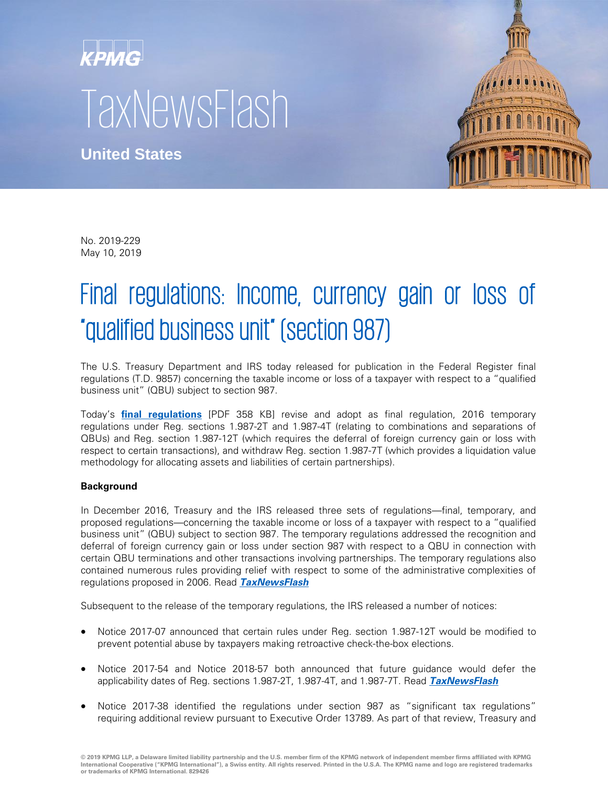## KPMG TaxNewsFlash

**United States**



No. 2019-229 May 10, 2019

## Final regulations: Income, currency gain or loss of "qualified business unit" (section 987)

The U.S. Treasury Department and IRS today released for publication in the Federal Register final regulations (T.D. 9857) concerning the taxable income or loss of a taxpayer with respect to a "qualified business unit" (QBU) subject to section 987.

Today's **[final regulations](https://www.govinfo.gov/content/pkg/FR-2019-05-13/pdf/2019-09552.pdf)** [PDF 358 KB] revise and adopt as final regulation, 2016 temporary regulations under Reg. sections 1.987-2T and 1.987-4T (relating to combinations and separations of QBUs) and Reg. section 1.987-12T (which requires the deferral of foreign currency gain or loss with respect to certain transactions), and withdraw Reg. section 1.987-7T (which provides a liquidation value methodology for allocating assets and liabilities of certain partnerships).

## **Background**

In December 2016, Treasury and the IRS released three sets of regulations—final, temporary, and proposed regulations—concerning the taxable income or loss of a taxpayer with respect to a "qualified business unit" (QBU) subject to section 987. The temporary regulations addressed the recognition and deferral of foreign currency gain or loss under section 987 with respect to a QBU in connection with certain QBU terminations and other transactions involving partnerships. The temporary regulations also contained numerous rules providing relief with respect to some of the administrative complexities of regulations proposed in 2006. Read **[TaxNewsFlash](https://home.kpmg.com/us/en/home/insights/2016/12/tnf-regulations-income-currency-gain-or-loss-of-qualified-business-unit.html)**

Subsequent to the release of the temporary regulations, the IRS released a number of notices:

- Notice 2017-07 announced that certain rules under Reg. section 1.987-12T would be modified to prevent potential abuse by taxpayers making retroactive check-the-box elections.
- Notice 2017-54 and Notice 2018-57 both announced that future guidance would defer the applicability dates of Reg. sections 1.987-2T, 1.987-4T, and 1.987-7T. Read **[TaxNewsFlash](https://home.kpmg/us/en/home/insights/2018/06/tnf-notice-2018-57-regulations-under-section-987-one-year-deferral-of-effective-date.html)**
- Notice 2017-38 identified the regulations under section 987 as "significant tax regulations" requiring additional review pursuant to Executive Order 13789. As part of that review, Treasury and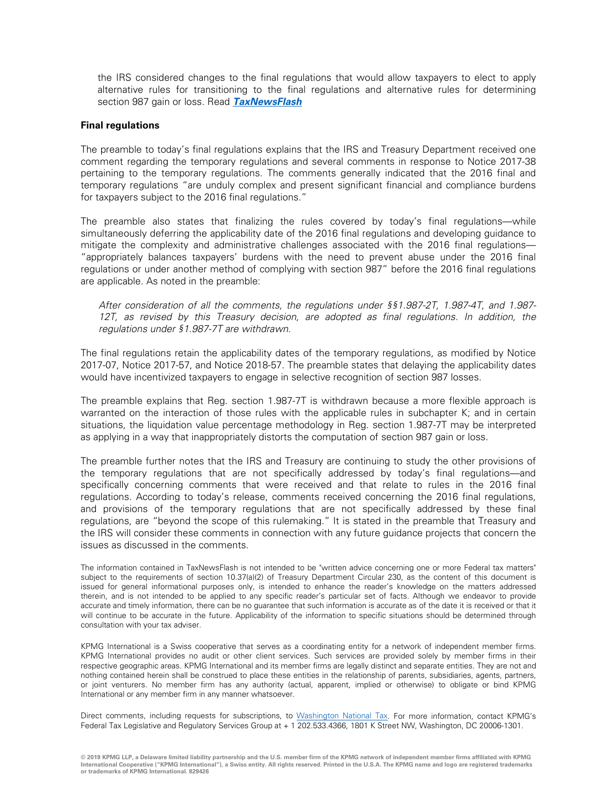the IRS considered changes to the final regulations that would allow taxpayers to elect to apply alternative rules for transitioning to the final regulations and alternative rules for determining section 987 gain or loss. Read **[TaxNewsFlash](https://home.kpmg/us/en/home/insights/2017/07/tnf-notice-2017-38-interim-list-of-treasury-regulations.html)**

## **Final regulations**

The preamble to today's final regulations explains that the IRS and Treasury Department received one comment regarding the temporary regulations and several comments in response to Notice 2017-38 pertaining to the temporary regulations. The comments generally indicated that the 2016 final and temporary regulations "are unduly complex and present significant financial and compliance burdens for taxpayers subject to the 2016 final regulations."

The preamble also states that finalizing the rules covered by today's final regulations—while simultaneously deferring the applicability date of the 2016 final regulations and developing guidance to mitigate the complexity and administrative challenges associated with the 2016 final regulations— "appropriately balances taxpayers' burdens with the need to prevent abuse under the 2016 final regulations or under another method of complying with section 987" before the 2016 final regulations are applicable. As noted in the preamble:

After consideration of all the comments, the regulations under §§1.987-2T, 1.987-4T, and 1.987- 12T, as revised by this Treasury decision, are adopted as final regulations. In addition, the regulations under §1.987-7T are withdrawn.

The final regulations retain the applicability dates of the temporary regulations, as modified by Notice 2017-07, Notice 2017-57, and Notice 2018-57. The preamble states that delaying the applicability dates would have incentivized taxpayers to engage in selective recognition of section 987 losses.

The preamble explains that Reg. section 1.987-7T is withdrawn because a more flexible approach is warranted on the interaction of those rules with the applicable rules in subchapter K; and in certain situations, the liquidation value percentage methodology in Reg. section 1.987-7T may be interpreted as applying in a way that inappropriately distorts the computation of section 987 gain or loss.

The preamble further notes that the IRS and Treasury are continuing to study the other provisions of the temporary regulations that are not specifically addressed by today's final regulations—and specifically concerning comments that were received and that relate to rules in the 2016 final regulations. According to today's release, comments received concerning the 2016 final regulations, and provisions of the temporary regulations that are not specifically addressed by these final regulations, are "beyond the scope of this rulemaking." It is stated in the preamble that Treasury and the IRS will consider these comments in connection with any future guidance projects that concern the issues as discussed in the comments.

The information contained in TaxNewsFlash is not intended to be "written advice concerning one or more Federal tax matters" subject to the requirements of section 10.37(a)(2) of Treasury Department Circular 230, as the content of this document is issued for general informational purposes only, is intended to enhance the reader's knowledge on the matters addressed therein, and is not intended to be applied to any specific reader's particular set of facts. Although we endeavor to provide accurate and timely information, there can be no guarantee that such information is accurate as of the date it is received or that it will continue to be accurate in the future. Applicability of the information to specific situations should be determined through consultation with your tax adviser.

KPMG International is a Swiss cooperative that serves as a coordinating entity for a network of independent member firms. KPMG International provides no audit or other client services. Such services are provided solely by member firms in their respective geographic areas. KPMG International and its member firms are legally distinct and separate entities. They are not and nothing contained herein shall be construed to place these entities in the relationship of parents, subsidiaries, agents, partners, or joint venturers. No member firm has any authority (actual, apparent, implied or otherwise) to obligate or bind KPMG International or any member firm in any manner whatsoever.

Direct comments, including requests for subscriptions, to [Washington National Tax.](mailto:US-KPMGWNT@kpmg.com?subject=Comments%20and%20requests) For more information, contact KPMG's Federal Tax Legislative and Regulatory Services Group at + 1 202.533.4366, 1801 K Street NW, Washington, DC 20006-1301.